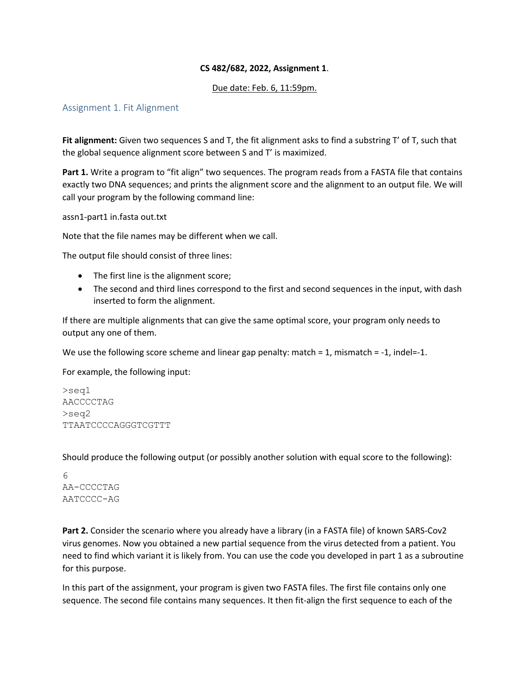# **CS 482/682, 2022, Assignment 1**.

### Due date: Feb. 6, 11:59pm.

# Assignment 1. Fit Alignment

**Fit alignment:** Given two sequences S and T, the fit alignment asks to find a substring T' of T, such that the global sequence alignment score between S and T' is maximized.

**Part 1.** Write a program to "fit align" two sequences. The program reads from a FASTA file that contains exactly two DNA sequences; and prints the alignment score and the alignment to an output file. We will call your program by the following command line:

assn1-part1 in.fasta out.txt

Note that the file names may be different when we call.

The output file should consist of three lines:

- The first line is the alignment score;
- The second and third lines correspond to the first and second sequences in the input, with dash inserted to form the alignment.

If there are multiple alignments that can give the same optimal score, your program only needs to output any one of them.

We use the following score scheme and linear gap penalty: match  $= 1$ , mismatch  $= -1$ , indel=-1.

For example, the following input:

>seq1 AACCCCTAG >seq2 TTAATCCCCAGGGTCGTTT

Should produce the following output (or possibly another solution with equal score to the following):

6 AA-CCCCTAG AATCCCC-AG

**Part 2.** Consider the scenario where you already have a library (in a FASTA file) of known SARS-Cov2 virus genomes. Now you obtained a new partial sequence from the virus detected from a patient. You need to find which variant it is likely from. You can use the code you developed in part 1 as a subroutine for this purpose.

In this part of the assignment, your program is given two FASTA files. The first file contains only one sequence. The second file contains many sequences. It then fit-align the first sequence to each of the